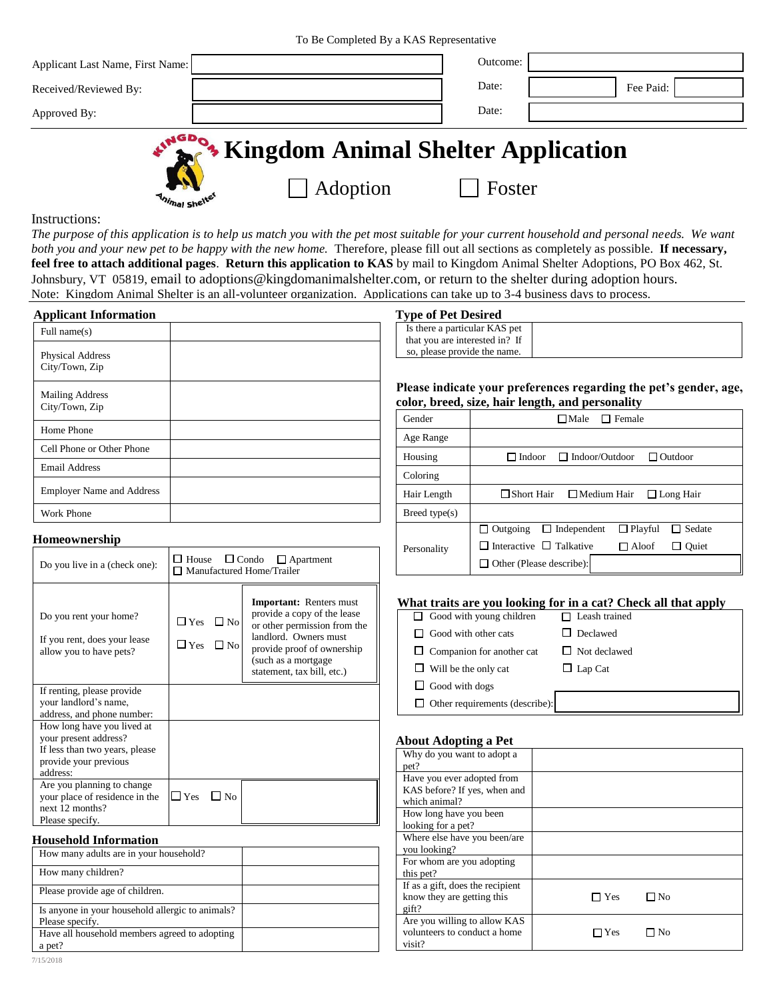To Be Completed By a KAS Representative

| Applicant Last Name, First Name: |                                                  | Outcome: |           |
|----------------------------------|--------------------------------------------------|----------|-----------|
| Received/Reviewed By:            |                                                  | Date:    | Fee Paid: |
| Approved By:                     |                                                  | Date:    |           |
|                                  | * Kingdom Animal Shelter Application<br>Adoption | Foster   |           |

Instructions:

*The purpose of this application is to help us match you with the pet most suitable for your current household and personal needs. We want both you and your new pet to be happy with the new home.* Therefore, please fill out all sections as completely as possible. **If necessary, feel free to attach additional pages**. **Return this application to KAS** by mail to Kingdom Animal Shelter Adoptions, PO Box 462, St. Johnsbury, VT 05819, email to adoptions@kingdomanimalshelter.com, or return to the shelter during adoption hours. Note: Kingdom Animal Shelter is an all-volunteer organization. Applications can take up to 3-4 business days to process.

| <b>Applicant Information</b>             |  |
|------------------------------------------|--|
| Full name(s)                             |  |
| Physical Address<br>City/Town, Zip       |  |
| <b>Mailing Address</b><br>City/Town, Zip |  |
| Home Phone                               |  |
| Cell Phone or Other Phone                |  |
| <b>Email Address</b>                     |  |
| <b>Employer Name and Address</b>         |  |
| Work Phone                               |  |

# **Type of Pet Desired**

| Is there a particular KAS pet  |  |
|--------------------------------|--|
| that you are interested in? If |  |
| so, please provide the name.   |  |

### **Please indicate your preferences regarding the pet's gender, age, color, breed, size, hair length, and personality**

|               | o                                                                           |
|---------------|-----------------------------------------------------------------------------|
| Gender        | $\square$ Male<br>$\Box$ Female                                             |
| Age Range     |                                                                             |
| Housing       | $\Box$ Indoor/Outdoor<br>$\Box$ Indoor<br>$\Box$ Outdoor                    |
| Coloring      |                                                                             |
| Hair Length   | □ Short Hair<br>$\Box$ Medium Hair<br>$\Box$ Long Hair                      |
| Breed type(s) |                                                                             |
|               | $\Box$ Outgoing<br>$\Box$ Playful<br>$\Box$ Independent<br>Sedate<br>$\Box$ |
| Personality   | $\Box$ Interactive $\Box$ Talkative<br>$\Box$ Aloof<br>$\Box$ Ouiet         |
|               | $\Box$ Other (Please describe):                                             |
|               |                                                                             |

### **What traits are you looking for in a cat? Check all that apply**

| $\Box$ Good with young children       | $\Box$ Leash trained |
|---------------------------------------|----------------------|
| $\Box$ Good with other cats           | $\Box$ Declawed      |
| $\Box$ Companion for another cat      | $\Box$ Not declawed  |
| $\Box$ Will be the only cat           | $\Box$ Lap Cat       |
| $\Box$ Good with dogs                 |                      |
| $\Box$ Other requirements (describe): |                      |

# **About Adopting a Pet**

| Why do you want to adopt a<br>pet? |               |
|------------------------------------|---------------|
|                                    |               |
| Have you ever adopted from         |               |
| KAS before? If yes, when and       |               |
| which animal?                      |               |
| How long have you been             |               |
| looking for a pet?                 |               |
| Where else have you been/are       |               |
| you looking?                       |               |
| For whom are you adopting          |               |
| this pet?                          |               |
| If as a gift, does the recipient   |               |
| know they are getting this         | l Yes<br>∃ No |
| gift?                              |               |
| Are you willing to allow KAS       |               |
| volunteers to conduct a home       | No<br>Yes     |
| visit?                             |               |

# **Homeownership**

| Do you live in a (check one):                                                                                              | $\Box$ House $\Box$ Condo $\Box$ Apartment<br>□ Manufactured Home/Trailer |                           |                                                                                                                                                                                                           |  |
|----------------------------------------------------------------------------------------------------------------------------|---------------------------------------------------------------------------|---------------------------|-----------------------------------------------------------------------------------------------------------------------------------------------------------------------------------------------------------|--|
| Do you rent your home?<br>If you rent, does your lease<br>allow you to have pets?                                          | $\square$ Yes<br>$\square$ Yes                                            | $\square$ No<br>$\Box$ No | <b>Important:</b> Renters must<br>provide a copy of the lease<br>or other permission from the<br>landlord. Owners must<br>provide proof of ownership<br>(such as a mortgage<br>statement, tax bill, etc.) |  |
| If renting, please provide<br>your landlord's name,<br>address, and phone number:                                          |                                                                           |                           |                                                                                                                                                                                                           |  |
| How long have you lived at<br>your present address?<br>If less than two years, please<br>provide your previous<br>address: |                                                                           |                           |                                                                                                                                                                                                           |  |
| Are you planning to change<br>your place of residence in the<br>next 12 months?<br>Please specify.                         | $\sqcup$ Yes                                                              | No                        |                                                                                                                                                                                                           |  |

#### **Household Information**

| How many adults are in your household?                              |  |
|---------------------------------------------------------------------|--|
| How many children?                                                  |  |
| Please provide age of children.                                     |  |
| Is anyone in your household allergic to animals?<br>Please specify. |  |
| Have all household members agreed to adopting<br>pet?               |  |